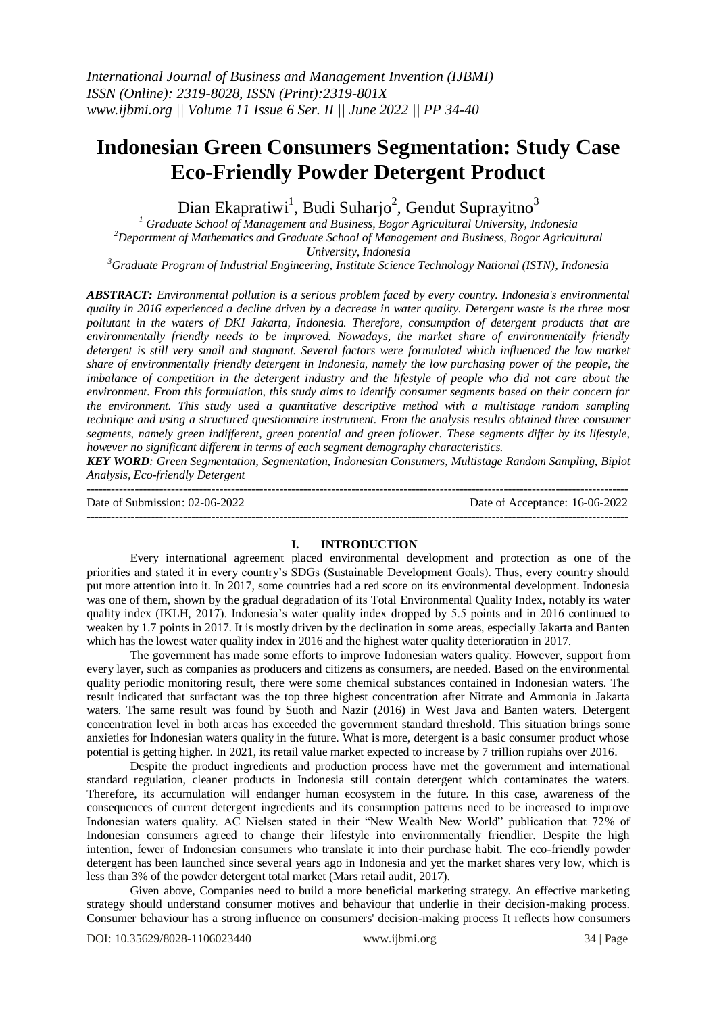# **Indonesian Green Consumers Segmentation: Study Case Eco-Friendly Powder Detergent Product**

Dian Ekapratiwi<sup>1</sup>, Budi Suharjo<sup>2</sup>, Gendut Suprayitno<sup>3</sup>

 *Graduate School of Management and Business, Bogor Agricultural University, Indonesia Department of Mathematics and Graduate School of Management and Business, Bogor Agricultural University, Indonesia Graduate Program of Industrial Engineering, Institute Science Technology National (ISTN), Indonesia*

*ABSTRACT: Environmental pollution is a serious problem faced by every country. Indonesia's environmental quality in 2016 experienced a decline driven by a decrease in water quality. Detergent waste is the three most pollutant in the waters of DKI Jakarta, Indonesia. Therefore, consumption of detergent products that are environmentally friendly needs to be improved. Nowadays, the market share of environmentally friendly detergent is still very small and stagnant. Several factors were formulated which influenced the low market share of environmentally friendly detergent in Indonesia, namely the low purchasing power of the people, the imbalance of competition in the detergent industry and the lifestyle of people who did not care about the environment. From this formulation, this study aims to identify consumer segments based on their concern for the environment. This study used a quantitative descriptive method with a multistage random sampling technique and using a structured questionnaire instrument. From the analysis results obtained three consumer segments, namely green indifferent, green potential and green follower. These segments differ by its lifestyle, however no significant different in terms of each segment demography characteristics.*

*KEY WORD: Green Segmentation, Segmentation, Indonesian Consumers, Multistage Random Sampling, Biplot Analysis, Eco-friendly Detergent*

| Date of Submission: 02-06-2022 | Date of Acceptance: 16-06-2022 |
|--------------------------------|--------------------------------|
|                                |                                |

## **I. INTRODUCTION**

Every international agreement placed environmental development and protection as one of the priorities and stated it in every country's SDGs (Sustainable Development Goals). Thus, every country should put more attention into it. In 2017, some countries had a red score on its environmental development. Indonesia was one of them, shown by the gradual degradation of its Total Environmental Quality Index, notably its water quality index (IKLH, 2017). Indonesia's water quality index dropped by 5.5 points and in 2016 continued to weaken by 1.7 points in 2017. It is mostly driven by the declination in some areas, especially Jakarta and Banten which has the lowest water quality index in 2016 and the highest water quality deterioration in 2017.

The government has made some efforts to improve Indonesian waters quality. However, support from every layer, such as companies as producers and citizens as consumers, are needed. Based on the environmental quality periodic monitoring result, there were some chemical substances contained in Indonesian waters. The result indicated that surfactant was the top three highest concentration after Nitrate and Ammonia in Jakarta waters. The same result was found by Suoth and Nazir (2016) in West Java and Banten waters. Detergent concentration level in both areas has exceeded the government standard threshold. This situation brings some anxieties for Indonesian waters quality in the future. What is more, detergent is a basic consumer product whose potential is getting higher. In 2021, its retail value market expected to increase by 7 trillion rupiahs over 2016.

Despite the product ingredients and production process have met the government and international standard regulation, cleaner products in Indonesia still contain detergent which contaminates the waters. Therefore, its accumulation will endanger human ecosystem in the future. In this case, awareness of the consequences of current detergent ingredients and its consumption patterns need to be increased to improve Indonesian waters quality. AC Nielsen stated in their "New Wealth New World" publication that 72% of Indonesian consumers agreed to change their lifestyle into environmentally friendlier. Despite the high intention, fewer of Indonesian consumers who translate it into their purchase habit. The eco-friendly powder detergent has been launched since several years ago in Indonesia and yet the market shares very low, which is less than 3% of the powder detergent total market (Mars retail audit, 2017).

Given above, Companies need to build a more beneficial marketing strategy. An effective marketing strategy should understand consumer motives and behaviour that underlie in their decision-making process. Consumer behaviour has a strong influence on consumers' decision-making process It reflects how consumers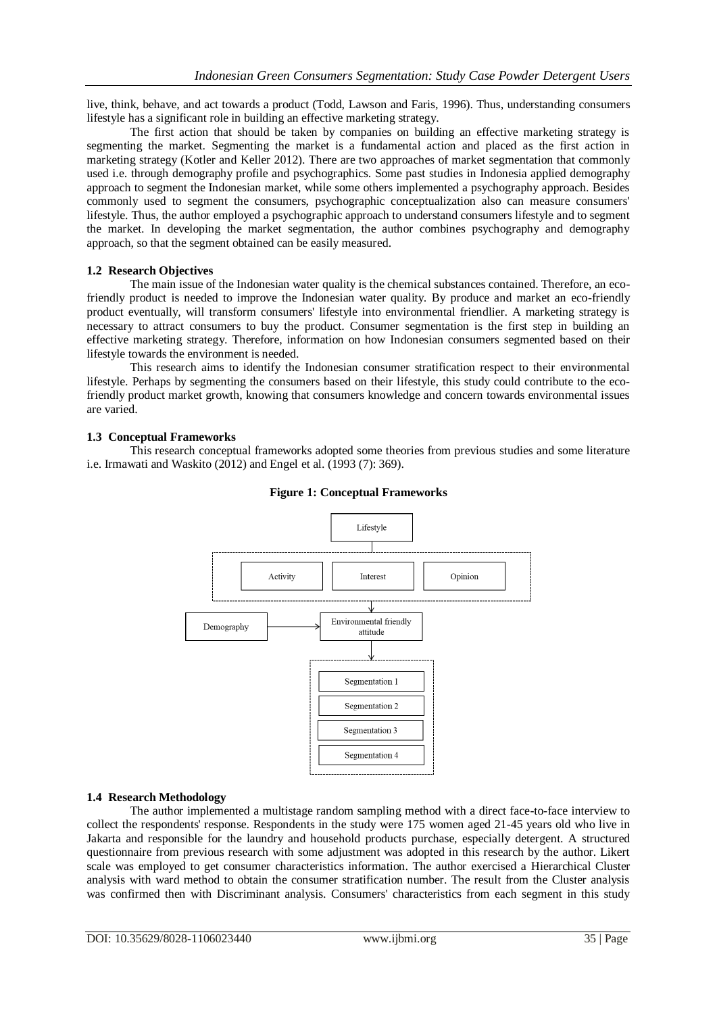live, think, behave, and act towards a product (Todd, Lawson and Faris, 1996). Thus, understanding consumers lifestyle has a significant role in building an effective marketing strategy.

The first action that should be taken by companies on building an effective marketing strategy is segmenting the market. Segmenting the market is a fundamental action and placed as the first action in marketing strategy (Kotler and Keller 2012). There are two approaches of market segmentation that commonly used i.e. through demography profile and psychographics. Some past studies in Indonesia applied demography approach to segment the Indonesian market, while some others implemented a psychography approach. Besides commonly used to segment the consumers, psychographic conceptualization also can measure consumers' lifestyle. Thus, the author employed a psychographic approach to understand consumers lifestyle and to segment the market. In developing the market segmentation, the author combines psychography and demography approach, so that the segment obtained can be easily measured.

## **1.2 Research Objectives**

The main issue of the Indonesian water quality is the chemical substances contained. Therefore, an ecofriendly product is needed to improve the Indonesian water quality. By produce and market an eco-friendly product eventually, will transform consumers' lifestyle into environmental friendlier. A marketing strategy is necessary to attract consumers to buy the product. Consumer segmentation is the first step in building an effective marketing strategy. Therefore, information on how Indonesian consumers segmented based on their lifestyle towards the environment is needed.

This research aims to identify the Indonesian consumer stratification respect to their environmental lifestyle. Perhaps by segmenting the consumers based on their lifestyle, this study could contribute to the ecofriendly product market growth, knowing that consumers knowledge and concern towards environmental issues are varied.

## **1.3 Conceptual Frameworks**

This research conceptual frameworks adopted some theories from previous studies and some literature i.e. Irmawati and Waskito (2012) and Engel et al. (1993 (7): 369).



## **Figure 1: Conceptual Frameworks**

## **1.4 Research Methodology**

The author implemented a multistage random sampling method with a direct face-to-face interview to collect the respondents' response. Respondents in the study were 175 women aged 21-45 years old who live in Jakarta and responsible for the laundry and household products purchase, especially detergent. A structured questionnaire from previous research with some adjustment was adopted in this research by the author. Likert scale was employed to get consumer characteristics information. The author exercised a Hierarchical Cluster analysis with ward method to obtain the consumer stratification number. The result from the Cluster analysis was confirmed then with Discriminant analysis. Consumers' characteristics from each segment in this study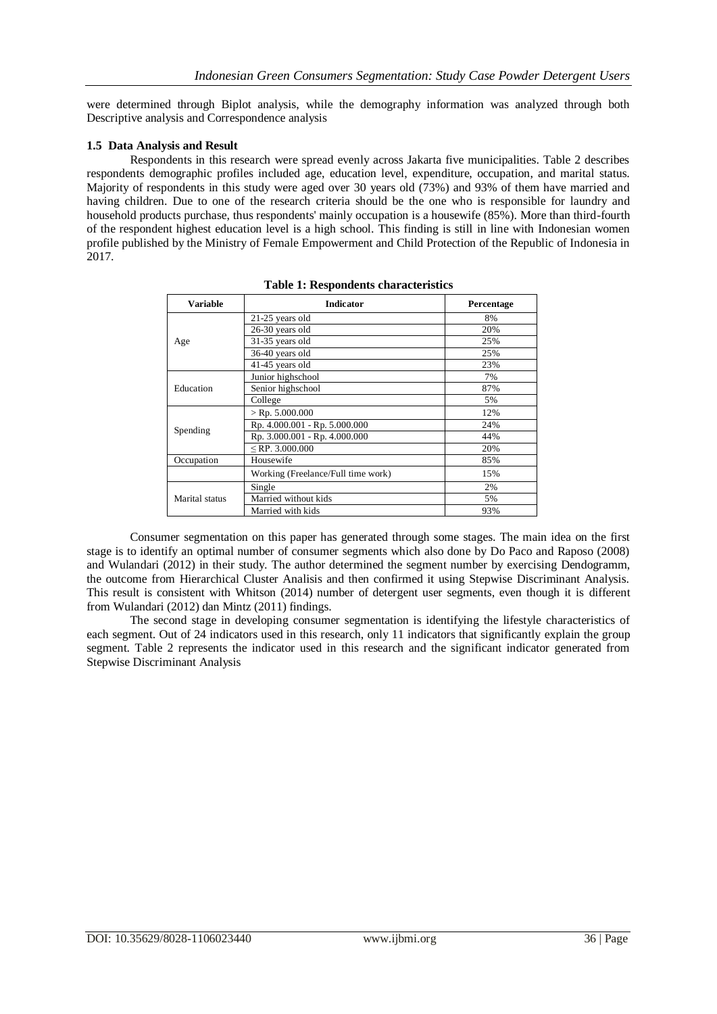were determined through Biplot analysis, while the demography information was analyzed through both Descriptive analysis and Correspondence analysis

## **1.5 Data Analysis and Result**

Respondents in this research were spread evenly across Jakarta five municipalities. Table 2 describes respondents demographic profiles included age, education level, expenditure, occupation, and marital status. Majority of respondents in this study were aged over 30 years old (73%) and 93% of them have married and having children. Due to one of the research criteria should be the one who is responsible for laundry and household products purchase, thus respondents' mainly occupation is a housewife (85%). More than third-fourth of the respondent highest education level is a high school. This finding is still in line with Indonesian women profile published by the Ministry of Female Empowerment and Child Protection of the Republic of Indonesia in 2017.

| <b>Variable</b> | <b>Indicator</b>                   | Percentage |
|-----------------|------------------------------------|------------|
|                 | 21-25 years old                    | 8%         |
|                 | 26-30 years old                    | 20%        |
| Age             | 31-35 years old                    | 25%        |
|                 | 36-40 years old                    | 25%        |
|                 | 41-45 years old                    | 23%        |
|                 | Junior highschool                  | 7%         |
| Education       | Senior highschool                  | 87%        |
|                 | College                            | 5%         |
| Spending        | $>$ Rp. 5.000.000                  | 12%        |
|                 | Rp. 4.000.001 - Rp. 5.000.000      | 24%        |
|                 | Rp. 3.000.001 - Rp. 4.000.000      | 44%        |
|                 | $\le$ RP. 3.000.000                | 20%        |
| Occupation      | Housewife                          | 85%        |
|                 | Working (Freelance/Full time work) | 15%        |
|                 | Single                             | 2%         |
| Marital status  | Married without kids               | 5%         |
|                 | Married with kids                  | 93%        |

**Table 1: Respondents characteristics**

Consumer segmentation on this paper has generated through some stages. The main idea on the first stage is to identify an optimal number of consumer segments which also done by Do Paco and Raposo (2008) and Wulandari (2012) in their study. The author determined the segment number by exercising Dendogramm, the outcome from Hierarchical Cluster Analisis and then confirmed it using Stepwise Discriminant Analysis. This result is consistent with Whitson (2014) number of detergent user segments, even though it is different from Wulandari (2012) dan Mintz (2011) findings.

The second stage in developing consumer segmentation is identifying the lifestyle characteristics of each segment. Out of 24 indicators used in this research, only 11 indicators that significantly explain the group segment. Table 2 represents the indicator used in this research and the significant indicator generated from Stepwise Discriminant Analysis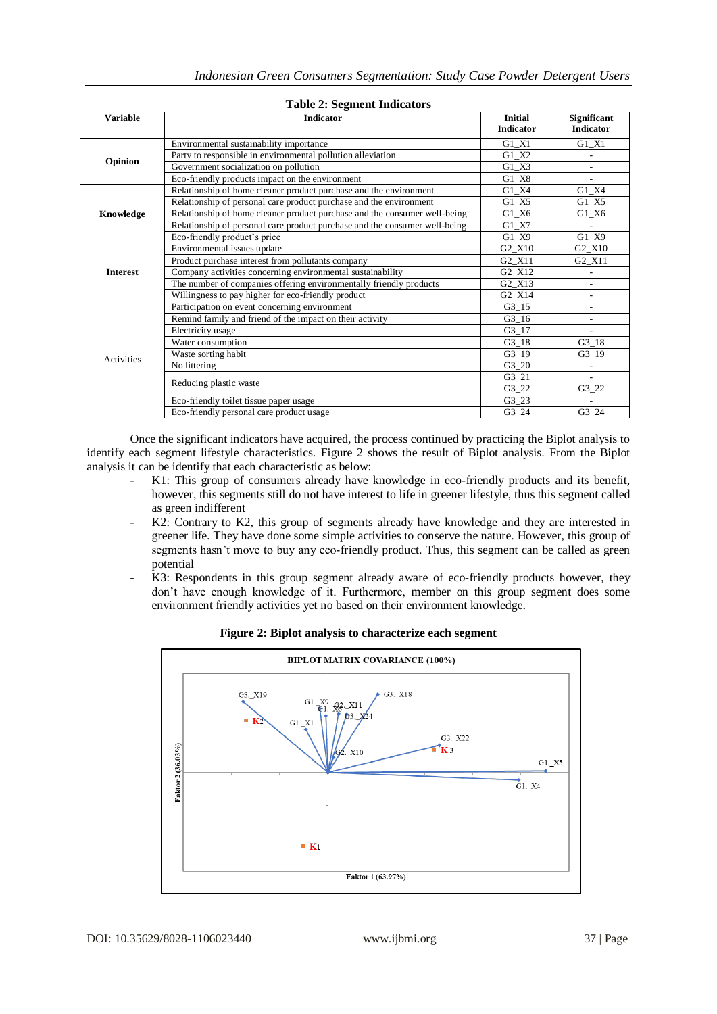| <b>Variable</b> | rabic 2. beginem muleators<br><b>Indicator</b>                             | <b>Initial</b>                 | <b>Significant</b>       |  |
|-----------------|----------------------------------------------------------------------------|--------------------------------|--------------------------|--|
|                 |                                                                            | <b>Indicator</b>               | <b>Indicator</b>         |  |
|                 | Environmental sustainability importance                                    | $G1_X1$                        | $G1_X1$                  |  |
| Opinion         | Party to responsible in environmental pollution alleviation                | G1 X2                          |                          |  |
|                 | Government socialization on pollution                                      | $G1_X3$                        | $\overline{a}$           |  |
|                 | Eco-friendly products impact on the environment                            | $G1_X8$                        | $\overline{\phantom{m}}$ |  |
|                 | Relationship of home cleaner product purchase and the environment          | $G1_X4$                        | $G1_X4$                  |  |
|                 | Relationship of personal care product purchase and the environment         | G1 X5                          | $G1_X5$                  |  |
| Knowledge       | Relationship of home cleaner product purchase and the consumer well-being  | $G1_X6$                        | $G1_X6$                  |  |
|                 | Relationship of personal care product purchase and the consumer well-being | $G1_X7$                        |                          |  |
|                 | Eco-friendly product's price                                               | G1 X9                          | $G1_X9$                  |  |
|                 | Environmental issues update                                                | $G2_X10$                       | G2_X10                   |  |
| <b>Interest</b> | Product purchase interest from pollutants company                          | G2 X11                         | $G2_X11$                 |  |
|                 | Company activities concerning environmental sustainability                 | G2_X12                         |                          |  |
|                 | The number of companies offering environmentally friendly products         | G2 X13                         |                          |  |
|                 | Willingness to pay higher for eco-friendly product                         | G <sub>2</sub> X <sub>14</sub> | $\overline{\phantom{0}}$ |  |
|                 | Participation on event concerning environment                              | $G3_15$                        | $\overline{a}$           |  |
|                 | Remind family and friend of the impact on their activity                   | G3 16                          | ۰                        |  |
|                 | Electricity usage                                                          | $G3_17$                        | $\overline{a}$           |  |
| Activities      | Water consumption                                                          | $G3_18$                        | $G3_18$                  |  |
|                 | Waste sorting habit                                                        | $G3_19$                        | $G3_19$                  |  |
|                 | No littering                                                               | $G3_20$                        | $\overline{\phantom{a}}$ |  |
|                 | Reducing plastic waste                                                     | G3 21                          |                          |  |
|                 |                                                                            | $G3_22$                        | $G3_222$                 |  |
|                 | Eco-friendly toilet tissue paper usage                                     | G3 23                          | ÷                        |  |
|                 | Eco-friendly personal care product usage                                   | $G3_2$ 24                      | $G3_2$ 24                |  |

## **Table 2: Segment Indicators**

Once the significant indicators have acquired, the process continued by practicing the Biplot analysis to identify each segment lifestyle characteristics. Figure 2 shows the result of Biplot analysis. From the Biplot analysis it can be identify that each characteristic as below:

- K1: This group of consumers already have knowledge in eco-friendly products and its benefit, however, this segments still do not have interest to life in greener lifestyle, thus this segment called as green indifferent
- K2: Contrary to K2, this group of segments already have knowledge and they are interested in greener life. They have done some simple activities to conserve the nature. However, this group of segments hasn't move to buy any eco-friendly product. Thus, this segment can be called as green potential
- K3: Respondents in this group segment already aware of eco-friendly products however, they don't have enough knowledge of it. Furthermore, member on this group segment does some environment friendly activities yet no based on their environment knowledge.



**Figure 2: Biplot analysis to characterize each segment**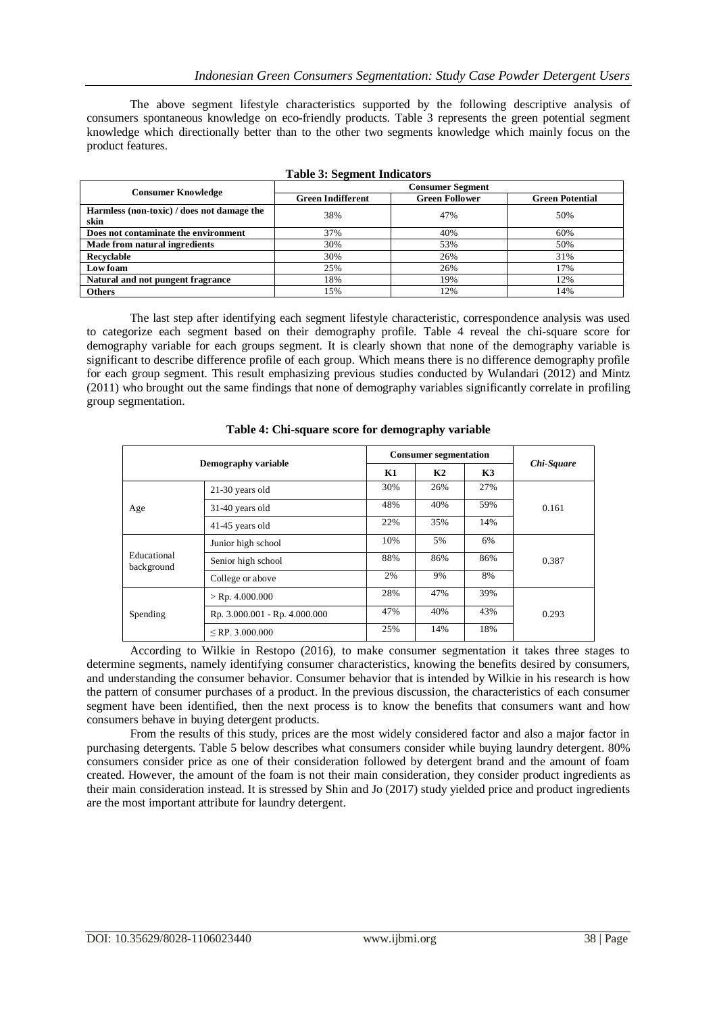The above segment lifestyle characteristics supported by the following descriptive analysis of consumers spontaneous knowledge on eco-friendly products. Table 3 represents the green potential segment knowledge which directionally better than to the other two segments knowledge which mainly focus on the product features.

| <b>Consumer Knowledge</b>                  | <b>Consumer Segment</b>  |                       |                        |  |
|--------------------------------------------|--------------------------|-----------------------|------------------------|--|
|                                            | <b>Green Indifferent</b> | <b>Green Follower</b> | <b>Green Potential</b> |  |
| Harmless (non-toxic) / does not damage the | 38%                      | 47%                   | 50%                    |  |
| skin                                       |                          |                       |                        |  |
| Does not contaminate the environment       | 37%                      | 40%                   | 60%                    |  |
| Made from natural ingredients              | 30%                      | 53%                   | 50%                    |  |
| Recyclable                                 | 30%                      | 26%                   | 31%                    |  |
| Low foam                                   | 25%                      | 26%                   | 17%                    |  |
| Natural and not pungent fragrance          | 18%                      | 19%                   | 12%                    |  |
| <b>Others</b>                              | 15%                      | 12%                   | 14%                    |  |

| <b>Table 3: Segment Indicators</b> |  |  |  |  |
|------------------------------------|--|--|--|--|
|------------------------------------|--|--|--|--|

The last step after identifying each segment lifestyle characteristic, correspondence analysis was used to categorize each segment based on their demography profile. Table 4 reveal the chi-square score for demography variable for each groups segment. It is clearly shown that none of the demography variable is significant to describe difference profile of each group. Which means there is no difference demography profile for each group segment. This result emphasizing previous studies conducted by Wulandari (2012) and Mintz (2011) who brought out the same findings that none of demography variables significantly correlate in profiling group segmentation.

| Demography variable       |                               | <b>Consumer segmentation</b> |                |           |            |
|---------------------------|-------------------------------|------------------------------|----------------|-----------|------------|
|                           |                               | K1                           | K <sub>2</sub> | <b>K3</b> | Chi-Square |
|                           | 21-30 years old               | 30%                          | 26%            | 27%       |            |
| Age                       | 31-40 years old               | 48%                          | 40%            | 59%       | 0.161      |
|                           | 41-45 years old               | 22%                          | 35%            | 14%       |            |
|                           | Junior high school            | 10%                          | 5%             | 6%        |            |
| Educational<br>background | Senior high school            | 88%                          | 86%            | 86%       | 0.387      |
|                           | College or above              | 2%                           | 9%             | 8%        |            |
|                           | $>$ Rp. 4.000.000             | 28%                          | 47%            | 39%       |            |
| Spending                  | Rp. 3.000.001 - Rp. 4.000.000 | 47%                          | 40%            | 43%       | 0.293      |
|                           | $\le$ RP. 3.000.000           | 25%                          | 14%            | 18%       |            |

**Table 4: Chi-square score for demography variable**

According to Wilkie in Restopo (2016), to make consumer segmentation it takes three stages to determine segments, namely identifying consumer characteristics, knowing the benefits desired by consumers, and understanding the consumer behavior. Consumer behavior that is intended by Wilkie in his research is how the pattern of consumer purchases of a product. In the previous discussion, the characteristics of each consumer segment have been identified, then the next process is to know the benefits that consumers want and how consumers behave in buying detergent products.

From the results of this study, prices are the most widely considered factor and also a major factor in purchasing detergents. Table 5 below describes what consumers consider while buying laundry detergent. 80% consumers consider price as one of their consideration followed by detergent brand and the amount of foam created. However, the amount of the foam is not their main consideration, they consider product ingredients as their main consideration instead. It is stressed by Shin and Jo (2017) study yielded price and product ingredients are the most important attribute for laundry detergent.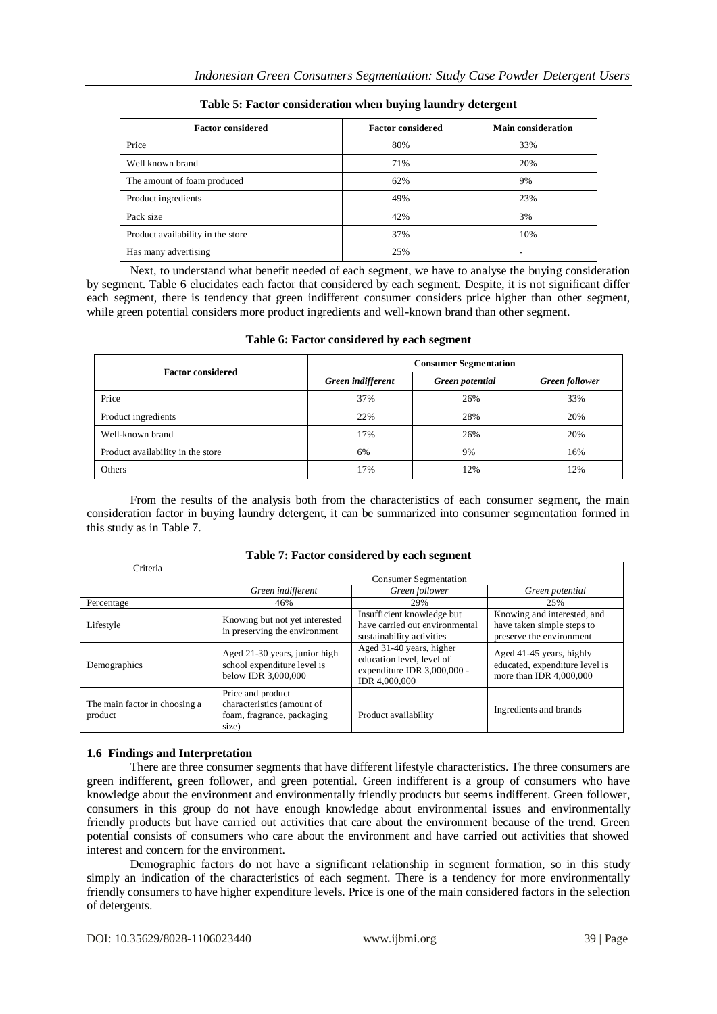| <b>Factor considered</b>          | <b>Factor considered</b> | <b>Main consideration</b> |
|-----------------------------------|--------------------------|---------------------------|
| Price                             | 80%                      | 33%                       |
| Well known brand                  | 71%                      | 20%                       |
| The amount of foam produced       | 62%                      | 9%                        |
| Product ingredients               | 49%                      | 23%                       |
| Pack size                         | 42%                      | 3%                        |
| Product availability in the store | 37%                      | 10%                       |
| Has many advertising              | 25%                      |                           |

## **Table 5: Factor consideration when buying laundry detergent**

Next, to understand what benefit needed of each segment, we have to analyse the buying consideration by segment. Table 6 elucidates each factor that considered by each segment. Despite, it is not significant differ each segment, there is tendency that green indifferent consumer considers price higher than other segment, while green potential considers more product ingredients and well-known brand than other segment.

| <b>Factor considered</b>          | <b>Consumer Segmentation</b> |                 |                       |  |
|-----------------------------------|------------------------------|-----------------|-----------------------|--|
|                                   | Green indifferent            | Green potential | <b>Green follower</b> |  |
| Price                             | 37%                          | 26%             | 33%                   |  |
| Product ingredients               | 22%                          | 28%             | 20%                   |  |
| Well-known brand                  | 17%                          | 26%             | 20%                   |  |
| Product availability in the store | 6%                           | 9%              | 16%                   |  |
| Others                            | 17%                          | 12%             | 12%                   |  |

## **Table 6: Factor considered by each segment**

From the results of the analysis both from the characteristics of each consumer segment, the main consideration factor in buying laundry detergent, it can be summarized into consumer segmentation formed in this study as in Table 7.

| Criteria                                 | <b>Consumer Segmentation</b>                                                           |                                                                                                              |                                                                                       |  |
|------------------------------------------|----------------------------------------------------------------------------------------|--------------------------------------------------------------------------------------------------------------|---------------------------------------------------------------------------------------|--|
|                                          | Green indifferent                                                                      | Green follower                                                                                               | Green potential                                                                       |  |
| Percentage                               | 46%                                                                                    | 29%                                                                                                          | 25%                                                                                   |  |
| Lifestyle                                | Knowing but not yet interested<br>in preserving the environment                        | Insufficient knowledge but<br>have carried out environmental<br>sustainability activities                    | Knowing and interested, and<br>have taken simple steps to<br>preserve the environment |  |
| Demographics                             | Aged 21-30 years, junior high<br>school expenditure level is<br>below IDR 3,000,000    | Aged 31-40 years, higher<br>education level, level of<br>expenditure IDR 3,000,000 -<br><b>IDR 4.000.000</b> | Aged 41-45 years, highly<br>educated, expenditure level is<br>more than IDR 4,000,000 |  |
| The main factor in choosing a<br>product | Price and product<br>characteristics (amount of<br>foam, fragrance, packaging<br>size) | Product availability                                                                                         | Ingredients and brands                                                                |  |

## **Table 7: Factor considered by each segment**

## **1.6 Findings and Interpretation**

There are three consumer segments that have different lifestyle characteristics. The three consumers are green indifferent, green follower, and green potential. Green indifferent is a group of consumers who have knowledge about the environment and environmentally friendly products but seems indifferent. Green follower, consumers in this group do not have enough knowledge about environmental issues and environmentally friendly products but have carried out activities that care about the environment because of the trend. Green potential consists of consumers who care about the environment and have carried out activities that showed interest and concern for the environment.

Demographic factors do not have a significant relationship in segment formation, so in this study simply an indication of the characteristics of each segment. There is a tendency for more environmentally friendly consumers to have higher expenditure levels. Price is one of the main considered factors in the selection of detergents.